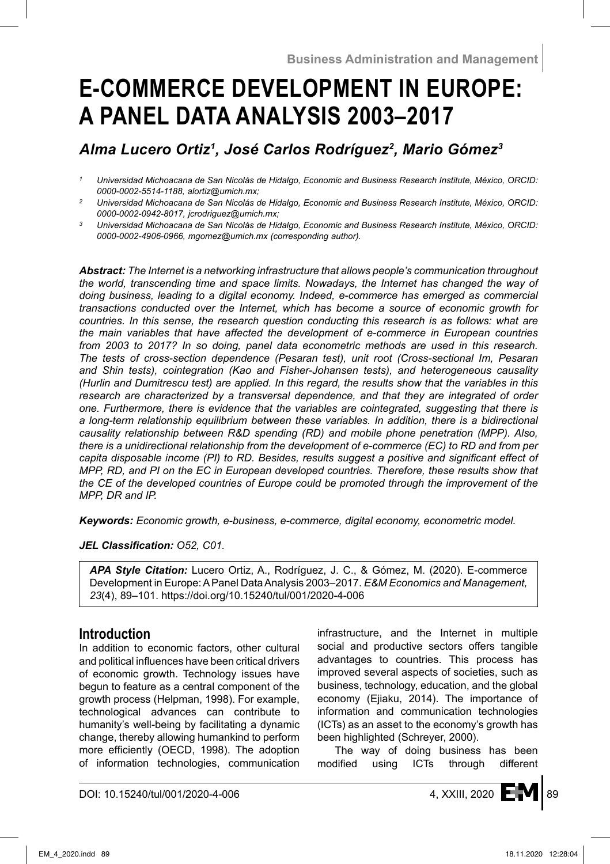# **E-COMMERCE DEVELOPMENT IN EUROPE: A PANEL DATA ANALYSIS 2003–2017**

# *Alma Lucero Ortiz1 , José Carlos Rodríguez<sup>2</sup> , Mario Gómez3*

*<sup>1</sup> Universidad Michoacana de San Nicolás de Hidalgo, Economic and Business Research Institute, México, ORCID: 0000-0002-5514-1188, alortiz@umich.mx;*

*Abstract: The Internet is a networking infrastructure that allows people's communication throughout the world, transcending time and space limits. Nowadays, the Internet has changed the way of doing business, leading to a digital economy. Indeed, e-commerce has emerged as commercial transactions conducted over the Internet, which has become a source of economic growth for countries. In this sense, the research question conducting this research is as follows: what are the main variables that have affected the development of e-commerce in European countries from 2003 to 2017? In so doing, panel data econometric methods are used in this research. The tests of cross-section dependence (Pesaran test), unit root (Cross-sectional Im, Pesaran and Shin tests), cointegration (Kao and Fisher-Johansen tests), and heterogeneous causality (Hurlin and Dumitrescu test) are applied. In this regard, the results show that the variables in this research are characterized by a transversal dependence, and that they are integrated of order one. Furthermore, there is evidence that the variables are cointegrated, suggesting that there is a long-term relationship equilibrium between these variables. In addition, there is a bidirectional causality relationship between R&D spending (RD) and mobile phone penetration (MPP). Also, there is a unidirectional relationship from the development of e-commerce (EC) to RD and from per capita disposable income (PI) to RD. Besides, results suggest a positive and significant effect of MPP, RD, and PI on the EC in European developed countries. Therefore, these results show that the CE of the developed countries of Europe could be promoted through the improvement of the MPP, DR and IP.*

*Keywords: Economic growth, e-business, e-commerce, digital economy, econometric model.*

### *JEL Classification: O52, C01.*

*APA Style Citation:* Lucero Ortiz, A., Rodríguez, J. C., & Gómez, M. (2020). E-commerce Development in Europe: APanel Data Analysis 2003–2017. *E&M Economics and Management, 23*(4), 89–101. https://doi.org/10.15240/tul/001/2020-4-006

# **Introduction**

In addition to economic factors, other cultural and political influences have been critical drivers of economic growth. Technology issues have begun to feature as a central component of the growth process (Helpman, 1998). For example, technological advances can contribute to humanity's well-being by facilitating a dynamic change, thereby allowing humankind to perform more efficiently (OECD, 1998). The adoption of information technologies, communication infrastructure, and the Internet in multiple social and productive sectors offers tangible advantages to countries. This process has improved several aspects of societies, such as business, technology, education, and the global economy (Ejiaku, 2014). The importance of information and communication technologies (ICTs) as an asset to the economy's growth has been highlighted (Schreyer, 2000).

The way of doing business has been modified using ICTs through different



*<sup>2</sup> Universidad Michoacana de San Nicolás de Hidalgo, Economic and Business Research Institute, México, ORCID: 0000-0002-0942-8017, jcrodriguez@umich.mx;*

*<sup>3</sup> Universidad Michoacana de San Nicolás de Hidalgo, Economic and Business Research Institute, México, ORCID: 0000-0002-4906-0966, mgomez@umich.mx (corresponding author).*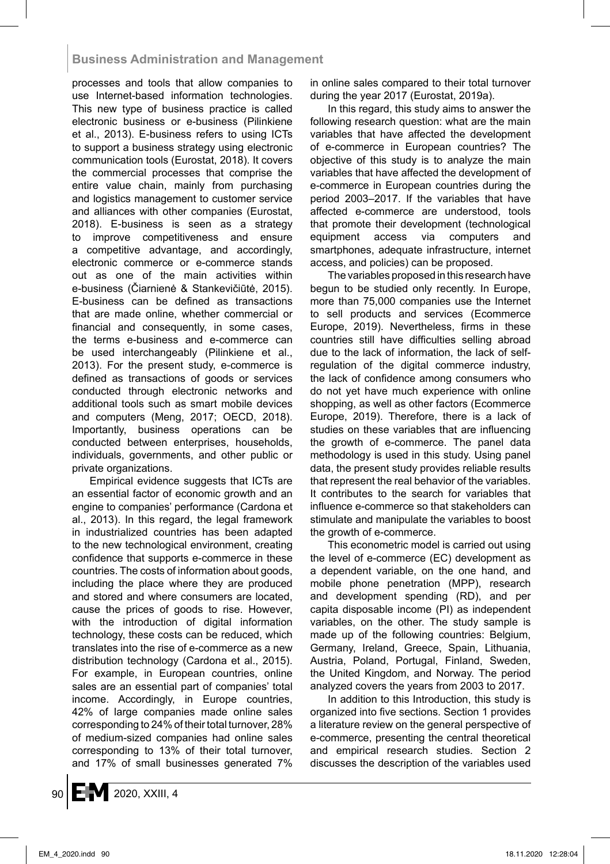# **Business Administration and Management**

processes and tools that allow companies to use Internet-based information technologies. This new type of business practice is called electronic business or e-business (Pilinkiene et al., 2013). E-business refers to using ICTs to support a business strategy using electronic communication tools (Eurostat, 2018). It covers the commercial processes that comprise the entire value chain, mainly from purchasing and logistics management to customer service and alliances with other companies (Eurostat, 2018). E-business is seen as a strategy to improve competitiveness and ensure a competitive advantage, and accordingly, electronic commerce or e-commerce stands out as one of the main activities within e-business (Čiarnienė & Stankevičiūtė, 2015). E-business can be defined as transactions that are made online, whether commercial or financial and consequently, in some cases, the terms e-business and e-commerce can be used interchangeably (Pilinkiene et al., 2013). For the present study, e-commerce is defined as transactions of goods or services conducted through electronic networks and additional tools such as smart mobile devices and computers (Meng, 2017; OECD, 2018). Importantly, business operations can be conducted between enterprises, households, individuals, governments, and other public or private organizations.

Empirical evidence suggests that ICTs are an essential factor of economic growth and an engine to companies' performance (Cardona et al., 2013). In this regard, the legal framework in industrialized countries has been adapted to the new technological environment, creating confidence that supports e-commerce in these countries. The costs of information about goods, including the place where they are produced and stored and where consumers are located, cause the prices of goods to rise. However, with the introduction of digital information technology, these costs can be reduced, which translates into the rise of e-commerce as a new distribution technology (Cardona et al., 2015). For example, in European countries, online sales are an essential part of companies' total income. Accordingly, in Europe countries, 42% of large companies made online sales corresponding to 24% of their total turnover, 28% of medium-sized companies had online sales corresponding to 13% of their total turnover, and 17% of small businesses generated 7% in online sales compared to their total turnover during the year 2017 (Eurostat, 2019a).

In this regard, this study aims to answer the following research question: what are the main variables that have affected the development of e-commerce in European countries? The objective of this study is to analyze the main variables that have affected the development of e-commerce in European countries during the period 2003–2017. If the variables that have affected e-commerce are understood, tools that promote their development (technological equipment access via computers and smartphones, adequate infrastructure, internet access, and policies) can be proposed.

The variables proposed in this research have begun to be studied only recently. In Europe, more than 75,000 companies use the Internet to sell products and services (Ecommerce Europe, 2019). Nevertheless, firms in these countries still have difficulties selling abroad due to the lack of information, the lack of selfregulation of the digital commerce industry, the lack of confidence among consumers who do not yet have much experience with online shopping, as well as other factors (Ecommerce Europe, 2019). Therefore, there is a lack of studies on these variables that are influencing the growth of e-commerce. The panel data methodology is used in this study. Using panel data, the present study provides reliable results that represent the real behavior of the variables. It contributes to the search for variables that influence e-commerce so that stakeholders can stimulate and manipulate the variables to boost the growth of e-commerce.

This econometric model is carried out using the level of e-commerce (EC) development as a dependent variable, on the one hand, and mobile phone penetration (MPP), research and development spending (RD), and per capita disposable income (PI) as independent variables, on the other. The study sample is made up of the following countries: Belgium, Germany, Ireland, Greece, Spain, Lithuania, Austria, Poland, Portugal, Finland, Sweden, the United Kingdom, and Norway. The period analyzed covers the years from 2003 to 2017.

In addition to this Introduction, this study is organized into five sections. Section 1 provides a literature review on the general perspective of e-commerce, presenting the central theoretical and empirical research studies. Section 2 discusses the description of the variables used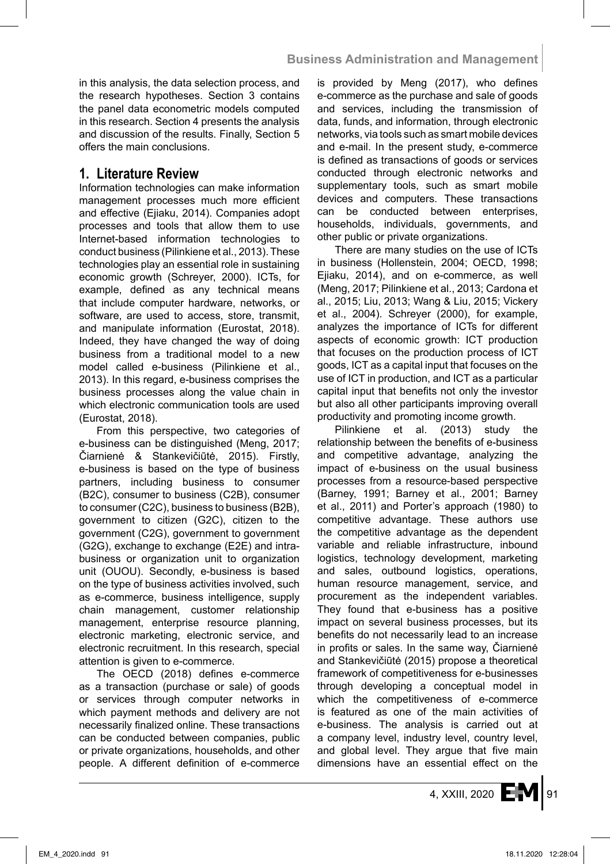in this analysis, the data selection process, and the research hypotheses. Section 3 contains the panel data econometric models computed in this research. Section 4 presents the analysis and discussion of the results. Finally, Section 5 offers the main conclusions.

# **1. Literature Review**

Information technologies can make information management processes much more efficient and effective (Ejiaku, 2014). Companies adopt processes and tools that allow them to use Internet-based information technologies to conduct business (Pilinkiene et al., 2013). These technologies play an essential role in sustaining economic growth (Schreyer, 2000). ICTs, for example, defined as any technical means that include computer hardware, networks, or software, are used to access, store, transmit, and manipulate information (Eurostat, 2018). Indeed, they have changed the way of doing business from a traditional model to a new model called e-business (Pilinkiene et al., 2013). In this regard, e-business comprises the business processes along the value chain in which electronic communication tools are used (Eurostat, 2018).

From this perspective, two categories of e-business can be distinguished (Meng, 2017; Čiarnienė & Stankevičiūtė, 2015). Firstly, e-business is based on the type of business partners, including business to consumer (B2C), consumer to business (C2B), consumer to consumer (C2C), business to business (B2B), government to citizen (G2C), citizen to the government (C2G), government to government (G2G), exchange to exchange (E2E) and intrabusiness or organization unit to organization unit (OUOU). Secondly, e-business is based on the type of business activities involved, such as e-commerce, business intelligence, supply chain management, customer relationship management, enterprise resource planning, electronic marketing, electronic service, and electronic recruitment. In this research, special attention is given to e-commerce.

The OECD (2018) defines e-commerce as a transaction (purchase or sale) of goods or services through computer networks in which payment methods and delivery are not necessarily finalized online. These transactions can be conducted between companies, public or private organizations, households, and other people. A different definition of e-commerce is provided by Meng (2017), who defines e-commerce as the purchase and sale of goods and services, including the transmission of data, funds, and information, through electronic networks, via tools such as smart mobile devices and e-mail. In the present study, e-commerce is defined as transactions of goods or services conducted through electronic networks and supplementary tools, such as smart mobile devices and computers. These transactions can be conducted between enterprises, households, individuals, governments, and other public or private organizations.

There are many studies on the use of ICTs in business (Hollenstein, 2004; OECD, 1998; Ejiaku, 2014), and on e-commerce, as well (Meng, 2017; Pilinkiene et al., 2013; Cardona et al., 2015; Liu, 2013; Wang & Liu, 2015; Vickery et al., 2004). Schreyer (2000), for example, analyzes the importance of ICTs for different aspects of economic growth: ICT production that focuses on the production process of ICT goods, ICT as a capital input that focuses on the use of ICT in production, and ICT as a particular capital input that benefits not only the investor but also all other participants improving overall productivity and promoting income growth.

Pilinkiene et al. (2013) study the relationship between the benefits of e-business and competitive advantage, analyzing the impact of e-business on the usual business processes from a resource-based perspective (Barney, 1991; Barney et al., 2001; Barney et al., 2011) and Porter's approach (1980) to competitive advantage. These authors use the competitive advantage as the dependent variable and reliable infrastructure, inbound logistics, technology development, marketing and sales, outbound logistics, operations, human resource management, service, and procurement as the independent variables. They found that e-business has a positive impact on several business processes, but its benefits do not necessarily lead to an increase in profits or sales. In the same way, Čiarnienė and Stankevičiūtė (2015) propose a theoretical framework of competitiveness for e-businesses through developing a conceptual model in which the competitiveness of e-commerce is featured as one of the main activities of e-business. The analysis is carried out at a company level, industry level, country level, and global level. They argue that five main dimensions have an essential effect on the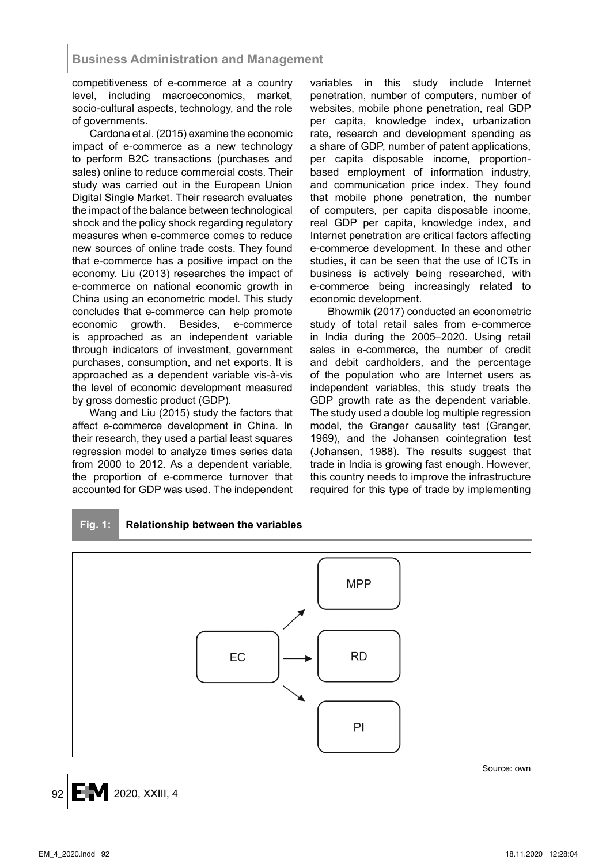competitiveness of e-commerce at a country level, including macroeconomics, market, socio-cultural aspects, technology, and the role of governments.

Cardona et al. (2015) examine the economic impact of e-commerce as a new technology to perform B2C transactions (purchases and sales) online to reduce commercial costs. Their study was carried out in the European Union Digital Single Market. Their research evaluates the impact of the balance between technological shock and the policy shock regarding regulatory measures when e-commerce comes to reduce new sources of online trade costs. They found that e-commerce has a positive impact on the economy. Liu (2013) researches the impact of e-commerce on national economic growth in China using an econometric model. This study concludes that e-commerce can help promote economic growth. Besides, e-commerce is approached as an independent variable through indicators of investment, government purchases, consumption, and net exports. It is approached as a dependent variable vis-à-vis the level of economic development measured by gross domestic product (GDP).

Wang and Liu (2015) study the factors that affect e-commerce development in China. In their research, they used a partial least squares regression model to analyze times series data from 2000 to 2012. As a dependent variable, the proportion of e-commerce turnover that accounted for GDP was used. The independent variables in this study include Internet penetration, number of computers, number of websites, mobile phone penetration, real GDP per capita, knowledge index, urbanization rate, research and development spending as a share of GDP, number of patent applications, per capita disposable income, proportionbased employment of information industry, and communication price index. They found that mobile phone penetration, the number of computers, per capita disposable income, real GDP per capita, knowledge index, and Internet penetration are critical factors affecting e-commerce development. In these and other studies, it can be seen that the use of ICTs in business is actively being researched, with e-commerce being increasingly related to economic development.

Bhowmik (2017) conducted an econometric study of total retail sales from e-commerce in India during the 2005–2020. Using retail sales in e-commerce, the number of credit and debit cardholders, and the percentage of the population who are Internet users as independent variables, this study treats the GDP growth rate as the dependent variable. The study used a double log multiple regression model, the Granger causality test (Granger, 1969), and the Johansen cointegration test (Johansen, 1988). The results suggest that trade in India is growing fast enough. However, this country needs to improve the infrastructure required for this type of trade by implementing



**Fig. 1: Relationship between the variables**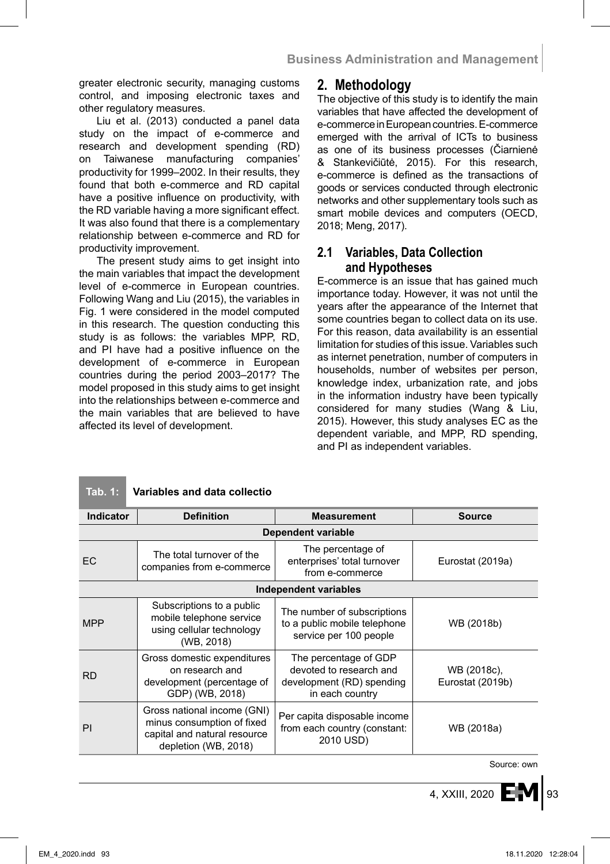greater electronic security, managing customs control, and imposing electronic taxes and other regulatory measures.

Liu et al. (2013) conducted a panel data study on the impact of e-commerce and research and development spending (RD) on Taiwanese manufacturing companies' productivity for 1999–2002. In their results, they found that both e-commerce and RD capital have a positive influence on productivity, with the RD variable having a more significant effect. It was also found that there is a complementary relationship between e-commerce and RD for productivity improvement.

The present study aims to get insight into the main variables that impact the development level of e-commerce in European countries. Following Wang and Liu (2015), the variables in Fig. 1 were considered in the model computed in this research. The question conducting this study is as follows: the variables MPP, RD, and PI have had a positive influence on the development of e-commerce in European countries during the period 2003–2017? The model proposed in this study aims to get insight into the relationships between e-commerce and the main variables that are believed to have affected its level of development.

# **2. Methodology**

The objective of this study is to identify the main variables that have affected the development of e-commerce in European countries. E-commerce emerged with the arrival of ICTs to business as one of its business processes (Čiarnienė & Stankevičiūtė, 2015). For this research, e-commerce is defined as the transactions of goods or services conducted through electronic networks and other supplementary tools such as smart mobile devices and computers (OECD, 2018; Meng, 2017).

# **2.1 Variables, Data Collection and Hypotheses**

E-commerce is an issue that has gained much importance today. However, it was not until the years after the appearance of the Internet that some countries began to collect data on its use. For this reason, data availability is an essential limitation for studies of this issue. Variables such as internet penetration, number of computers in households, number of websites per person, knowledge index, urbanization rate, and jobs in the information industry have been typically considered for many studies (Wang & Liu, 2015). However, this study analyses EC as the dependent variable, and MPP, RD spending, and PI as independent variables.

### **Tab. 1: Variables and data collectio**

| Indicator                    | <b>Definition</b>                                                                                                 | <b>Measurement</b>                                                                               | <b>Source</b>                   |  |
|------------------------------|-------------------------------------------------------------------------------------------------------------------|--------------------------------------------------------------------------------------------------|---------------------------------|--|
| Dependent variable           |                                                                                                                   |                                                                                                  |                                 |  |
| EC                           | The total turnover of the<br>companies from e-commerce                                                            | The percentage of<br>enterprises' total turnover<br>from e-commerce                              | Eurostat (2019a)                |  |
| <b>Independent variables</b> |                                                                                                                   |                                                                                                  |                                 |  |
| <b>MPP</b>                   | Subscriptions to a public<br>mobile telephone service<br>using cellular technology<br>(WB, 2018)                  | The number of subscriptions<br>to a public mobile telephone<br>service per 100 people            | WB (2018b)                      |  |
| <b>RD</b>                    | Gross domestic expenditures<br>on research and<br>development (percentage of<br>GDP) (WB, 2018)                   | The percentage of GDP<br>devoted to research and<br>development (RD) spending<br>in each country | WB (2018c),<br>Eurostat (2019b) |  |
| PI                           | Gross national income (GNI)<br>minus consumption of fixed<br>capital and natural resource<br>depletion (WB, 2018) | Per capita disposable income<br>from each country (constant:<br>2010 USD)                        | WB (2018a)                      |  |

Source: own

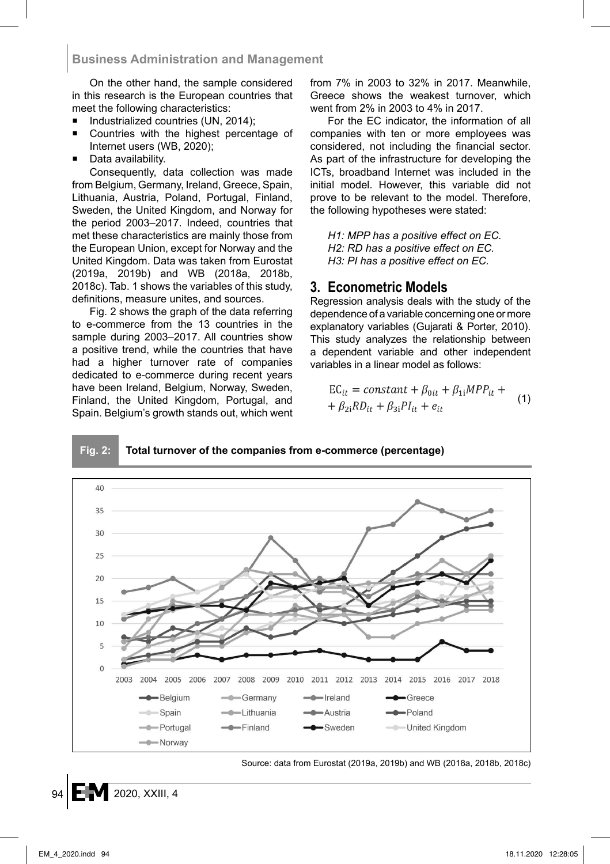On the other hand, the sample considered in this research is the European countries that meet the following characteristics:

- Industrialized countries (UN, 2014);
- Countries with the highest percentage of Internet users (WB, 2020);
- Data availability.

Consequently, data collection was made from Belgium, Germany, Ireland, Greece, Spain, Lithuania, Austria, Poland, Portugal, Finland, Sweden, the United Kingdom, and Norway for the period 2003–2017. Indeed, countries that met these characteristics are mainly those from the European Union, except for Norway and the United Kingdom. Data was taken from Eurostat (2019a, 2019b) and WB (2018a, 2018b, 2018c). Tab. 1 shows the variables of this study, definitions, measure unites, and sources.

Fig. 2 shows the graph of the data referring to e-commerce from the 13 countries in the sample during 2003–2017. All countries show a positive trend, while the countries that have had a higher turnover rate of companies dedicated to e-commerce during recent years have been Ireland, Belgium, Norway, Sweden, Finland, the United Kingdom, Portugal, and Spain. Belgium's growth stands out, which went from 7% in 2003 to 32% in 2017. Meanwhile, Greece shows the weakest turnover, which went from 2% in 2003 to 4% in 2017.

For the EC indicator, the information of all companies with ten or more employees was considered, not including the financial sector. As part of the infrastructure for developing the ICTs, broadband Internet was included in the initial model. However, this variable did not prove to be relevant to the model. Therefore, the following hypotheses were stated:

*H1: MPP has a positive effect on EC. H2: RD has a positive effect on EC. H3: PI has a positive effect on EC.*

## **3. Econometric Models**

Regression analysis deals with the study of the dependence of a variable concerning one or more explanatory variables (Gujarati & Porter, 2010). This study analyzes the relationship between a dependent variable and other independent variables in a linear model as follows:

$$
EC_{it} = constant + \beta_{0it} + \beta_{1i} MPP_{it} ++ \beta_{2i} RD_{it} + \beta_{3i} PI_{it} + e_{it}
$$
 (1)

#### **Fig. 2: Total turnover of the companies from e-commerce (percentage)**



Source: data from Eurostat (2019a, 2019b) and WB (2018a, 2018b, 2018c)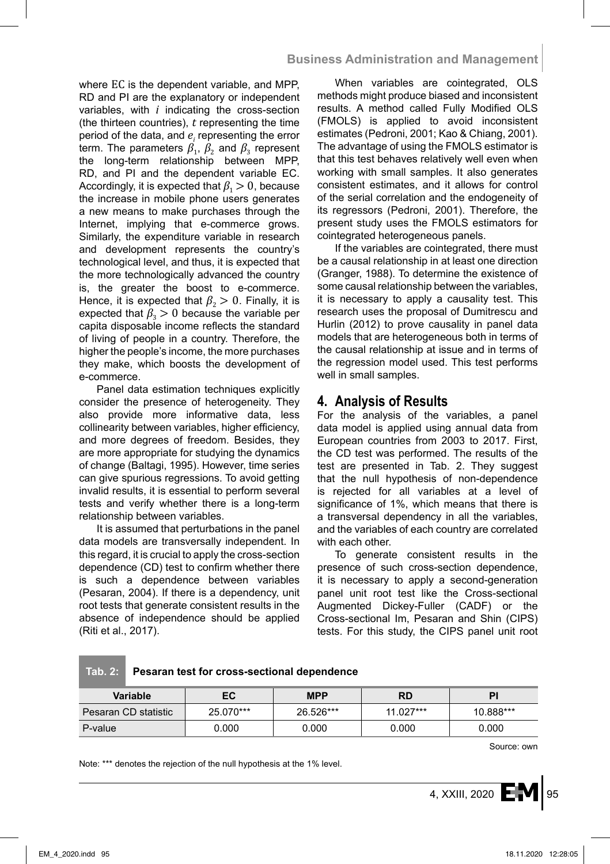where EC is the dependent variable, and MPP, RD and PI are the explanatory or independent variables, with *i* indicating the cross-section (the thirteen countries), *t* representing the time period of the data, and  $e_i$  representing the error term. The parameters  $\beta_1$ ,  $\beta_2$  and  $\beta_3$  represent the long-term relationship between MPP, RD, and PI and the dependent variable EC. Accordingly, it is expected that  $\beta_1 > 0$ , because the increase in mobile phone users generates a new means to make purchases through the Internet, implying that e-commerce grows. Similarly, the expenditure variable in research and development represents the country's technological level, and thus, it is expected that the more technologically advanced the country is, the greater the boost to e-commerce. Hence, it is expected that  $\beta_2 > 0$ . Finally, it is expected that  $\beta_3 > 0$  because the variable per capita disposable income reflects the standard of living of people in a country. Therefore, the higher the people's income, the more purchases they make, which boosts the development of e-commerce.

Panel data estimation techniques explicitly consider the presence of heterogeneity. They also provide more informative data, less collinearity between variables, higher efficiency, and more degrees of freedom. Besides, they are more appropriate for studying the dynamics of change (Baltagi, 1995). However, time series can give spurious regressions. To avoid getting invalid results, it is essential to perform several tests and verify whether there is a long-term relationship between variables.

It is assumed that perturbations in the panel data models are transversally independent. In this regard, it is crucial to apply the cross-section dependence (CD) test to confirm whether there is such a dependence between variables (Pesaran, 2004). If there is a dependency, unit root tests that generate consistent results in the absence of independence should be applied (Riti et al., 2017).

When variables are cointegrated, OLS methods might produce biased and inconsistent results. A method called Fully Modified OLS (FMOLS) is applied to avoid inconsistent estimates (Pedroni, 2001; Kao & Chiang, 2001). The advantage of using the FMOLS estimator is that this test behaves relatively well even when working with small samples. It also generates consistent estimates, and it allows for control of the serial correlation and the endogeneity of its regressors (Pedroni, 2001). Therefore, the present study uses the FMOLS estimators for cointegrated heterogeneous panels.

If the variables are cointegrated, there must be a causal relationship in at least one direction (Granger, 1988). To determine the existence of some causal relationship between the variables, it is necessary to apply a causality test. This research uses the proposal of Dumitrescu and Hurlin (2012) to prove causality in panel data models that are heterogeneous both in terms of the causal relationship at issue and in terms of the regression model used. This test performs well in small samples.

# **4. Analysis of Results**

For the analysis of the variables, a panel data model is applied using annual data from European countries from 2003 to 2017. First, the CD test was performed. The results of the test are presented in Tab. 2. They suggest that the null hypothesis of non-dependence is rejected for all variables at a level of significance of 1%, which means that there is a transversal dependency in all the variables, and the variables of each country are correlated with each other.

To generate consistent results in the presence of such cross-section dependence, it is necessary to apply a second-generation panel unit root test like the Cross-sectional Augmented Dickey-Fuller (CADF) or the Cross-sectional Im, Pesaran and Shin (CIPS) tests. For this study, the CIPS panel unit root

**Tab. 2: Pesaran test for cross-sectional dependence**

| Variable             | EC        | <b>MPP</b> | RD          | PI        |
|----------------------|-----------|------------|-------------|-----------|
| Pesaran CD statistic | 25.070*** | 26.526***  | $11.027***$ | 10.888*** |
| P-value              | 0.000     | 0.000      | 0.000       | 0.000     |

Source: own

Note: \*\*\* denotes the rejection of the null hypothesis at the 1% level.

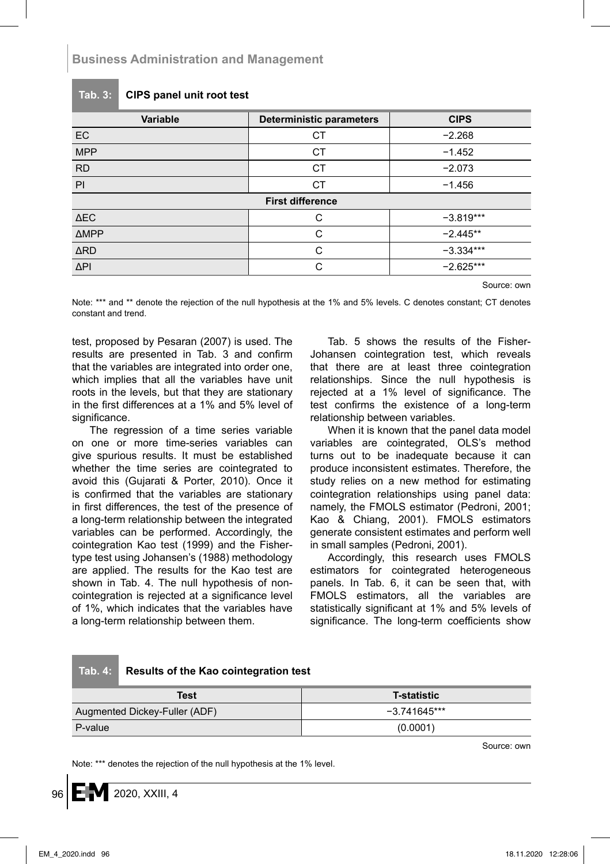**Business Administration and Management**

**Tab. 3: CIPS panel unit root test**

| Variable                | <b>Deterministic parameters</b> | <b>CIPS</b> |  |  |
|-------------------------|---------------------------------|-------------|--|--|
| <b>EC</b>               | СT                              | $-2.268$    |  |  |
| <b>MPP</b>              | <b>CT</b>                       | $-1.452$    |  |  |
| <b>RD</b>               | <b>CT</b>                       | $-2.073$    |  |  |
| PI                      | <b>CT</b>                       | $-1.456$    |  |  |
| <b>First difference</b> |                                 |             |  |  |
| $\Delta$ EC             | С                               | $-3.819***$ |  |  |
| <b>AMPP</b>             | C                               | $-2.445**$  |  |  |
| <b>ARD</b>              | C                               | $-3.334***$ |  |  |
| ΔPI                     | C.                              | $-2.625***$ |  |  |

Source: own

Note: \*\*\* and \*\* denote the rejection of the null hypothesis at the 1% and 5% levels. C denotes constant; CT denotes constant and trend.

test, proposed by Pesaran (2007) is used. The results are presented in Tab. 3 and confirm that the variables are integrated into order one, which implies that all the variables have unit roots in the levels, but that they are stationary in the first differences at a 1% and 5% level of significance.

The regression of a time series variable on one or more time-series variables can give spurious results. It must be established whether the time series are cointegrated to avoid this (Gujarati & Porter, 2010). Once it is confirmed that the variables are stationary in first differences, the test of the presence of a long-term relationship between the integrated variables can be performed. Accordingly, the cointegration Kao test (1999) and the Fishertype test using Johansen's (1988) methodology are applied. The results for the Kao test are shown in Tab. 4. The null hypothesis of noncointegration is rejected at a significance level of 1%, which indicates that the variables have a long-term relationship between them.

Tab. 5 shows the results of the Fisher-Johansen cointegration test, which reveals that there are at least three cointegration relationships. Since the null hypothesis is rejected at a 1% level of significance. The test confirms the existence of a long-term relationship between variables.

When it is known that the panel data model variables are cointegrated, OLS's method turns out to be inadequate because it can produce inconsistent estimates. Therefore, the study relies on a new method for estimating cointegration relationships using panel data: namely, the FMOLS estimator (Pedroni, 2001; Kao & Chiang, 2001). FMOLS estimators generate consistent estimates and perform well in small samples (Pedroni, 2001).

Accordingly, this research uses FMOLS estimators for cointegrated heterogeneous panels. In Tab. 6, it can be seen that, with FMOLS estimators, all the variables are statistically significant at 1% and 5% levels of significance. The long-term coefficients show

### **Tab. 4: Results of the Kao cointegration test**

| Test                          | <b>T-statistic</b> |  |
|-------------------------------|--------------------|--|
| Augmented Dickey-Fuller (ADF) | $-3741645***$      |  |
| P-value                       | (0.0001)           |  |

Source: own

Note: \*\*\* denotes the rejection of the null hypothesis at the 1% level.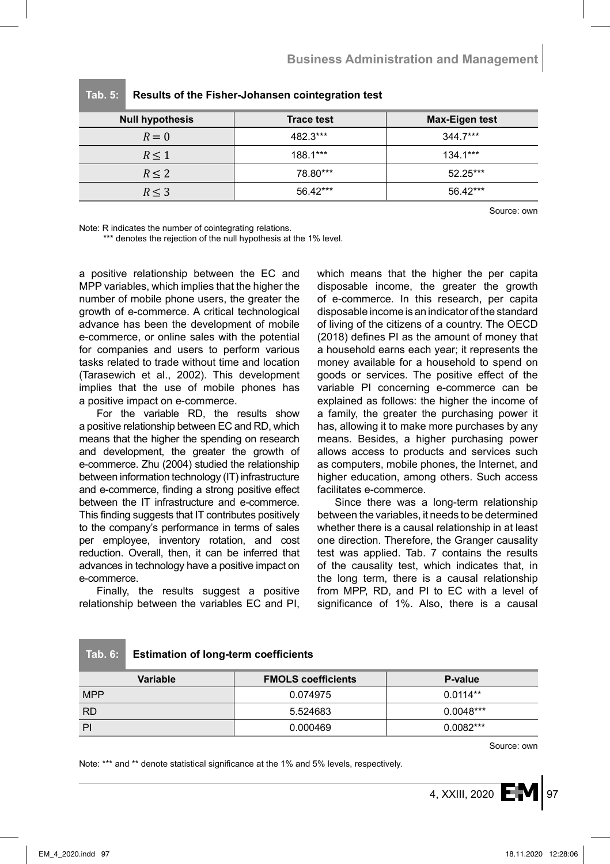| <b>Null hypothesis</b> | <b>Trace test</b> | Max-Eigen test |  |
|------------------------|-------------------|----------------|--|
| $R=0$                  | 482.3***          | $344.7***$     |  |
| R < 1                  | 188.1***          | $1341***$      |  |
| R < 2                  | 78.80***          | $52.25***$     |  |
| R < 3                  | $56.42***$        | $56.42***$     |  |

**Tab. 5: Results of the Fisher-Johansen cointegration test**

Source: own

Note: R indicates the number of cointegrating relations.

\*\*\* denotes the rejection of the null hypothesis at the 1% level.

a positive relationship between the EC and MPP variables, which implies that the higher the number of mobile phone users, the greater the growth of e-commerce. A critical technological advance has been the development of mobile e-commerce, or online sales with the potential for companies and users to perform various tasks related to trade without time and location (Tarasewich et al., 2002). This development implies that the use of mobile phones has a positive impact on e-commerce.

For the variable RD, the results show a positive relationship between EC and RD, which means that the higher the spending on research and development, the greater the growth of e-commerce. Zhu (2004) studied the relationship between information technology (IT) infrastructure and e-commerce, finding a strong positive effect between the IT infrastructure and e-commerce. This finding suggests that IT contributes positively to the company's performance in terms of sales per employee, inventory rotation, and cost reduction. Overall, then, it can be inferred that advances in technology have a positive impact on e-commerce.

Finally, the results suggest a positive relationship between the variables EC and PI, which means that the higher the per capita disposable income, the greater the growth of e-commerce. In this research, per capita disposable income is an indicator of the standard of living of the citizens of a country. The OECD (2018) defines PI as the amount of money that a household earns each year; it represents the money available for a household to spend on goods or services. The positive effect of the variable PI concerning e-commerce can be explained as follows: the higher the income of a family, the greater the purchasing power it has, allowing it to make more purchases by any means. Besides, a higher purchasing power allows access to products and services such as computers, mobile phones, the Internet, and higher education, among others. Such access facilitates e-commerce.

Since there was a long-term relationship between the variables, it needs to be determined whether there is a causal relationship in at least one direction. Therefore, the Granger causality test was applied. Tab. 7 contains the results of the causality test, which indicates that, in the long term, there is a causal relationship from MPP, RD, and PI to EC with a level of significance of 1%. Also, there is a causal

#### **Tab. 6: Estimation of long-term coefficients**

| Variable   | <b>FMOLS coefficients</b> | P-value     |
|------------|---------------------------|-------------|
| <b>MPP</b> | 0.074975                  | $0.0114**$  |
| <b>RD</b>  | 5.524683                  | $0.0048***$ |
| PI         | 0.000469                  | $0.0082***$ |

Source: own

Note: \*\*\* and \*\* denote statistical significance at the 1% and 5% levels, respectively.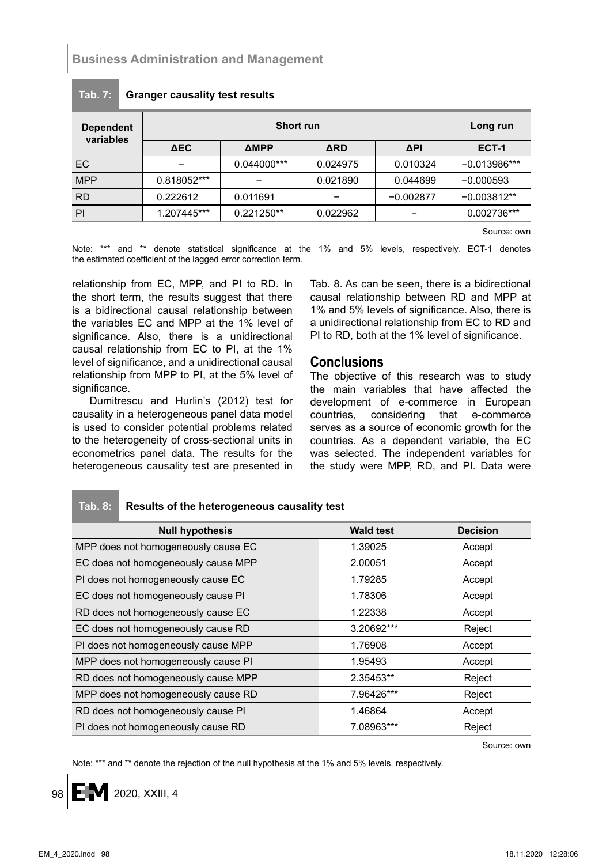# **Business Administration and Management**

| <b>Dependent</b><br>variables | Short run   |              |            |             | Long run       |
|-------------------------------|-------------|--------------|------------|-------------|----------------|
|                               | ΔEC.        | <b>AMPP</b>  | <b>ARD</b> | ΔPI         | <b>ECT-1</b>   |
| EC                            |             | 0.044000***  | 0.024975   | 0.010324    | $-0.013986***$ |
| <b>MPP</b>                    | 0.818052*** |              | 0.021890   | 0.044699    | $-0.000593$    |
| <b>RD</b>                     | 0.222612    | 0.011691     |            | $-0.002877$ | $-0.003812**$  |
| PI                            | 1.207445*** | $0.221250**$ | 0.022962   |             | 0.002736***    |

#### **Tab. 7: Granger causality test results**

Source: own

Note: \*\*\* and \*\* denote statistical significance at the 1% and 5% levels, respectively. ECT-1 denotes the estimated coefficient of the lagged error correction term.

relationship from EC, MPP, and PI to RD. In the short term, the results suggest that there is a bidirectional causal relationship between the variables EC and MPP at the 1% level of significance. Also, there is a unidirectional causal relationship from EC to PI, at the 1% level of significance, and a unidirectional causal relationship from MPP to PI, at the 5% level of significance.

Dumitrescu and Hurlin's (2012) test for causality in a heterogeneous panel data model is used to consider potential problems related to the heterogeneity of cross-sectional units in econometrics panel data. The results for the heterogeneous causality test are presented in Tab. 8. As can be seen, there is a bidirectional causal relationship between RD and MPP at 1% and 5% levels of significance. Also, there is a unidirectional relationship from EC to RD and PI to RD, both at the 1% level of significance.

### **Conclusions**

The objective of this research was to study the main variables that have affected the development of e-commerce in European countries, considering that e-commerce serves as a source of economic growth for the countries. As a dependent variable, the EC was selected. The independent variables for the study were MPP, RD, and PI. Data were

| <b>Null hypothesis</b>              | <b>Wald test</b> | <b>Decision</b> |
|-------------------------------------|------------------|-----------------|
| MPP does not homogeneously cause EC | 1.39025          | Accept          |
| EC does not homogeneously cause MPP | 2.00051          | Accept          |
| PI does not homogeneously cause EC  | 1.79285          | Accept          |
| EC does not homogeneously cause PI  | 1.78306          | Accept          |
| RD does not homogeneously cause EC  | 1.22338          | Accept          |
| EC does not homogeneously cause RD  | 3.20692***       | Reject          |
| PI does not homogeneously cause MPP | 1.76908          | Accept          |
| MPP does not homogeneously cause PI | 1.95493          | Accept          |
| RD does not homogeneously cause MPP | 2.35453**        | Reject          |
| MPP does not homogeneously cause RD | 7.96426***       | Reject          |
| RD does not homogeneously cause PI  | 1.46864          | Accept          |
| PI does not homogeneously cause RD  | 7.08963***       | Reject          |

**Tab. 8: Results of the heterogeneous causality test**

Source: own

Note: \*\*\* and \*\* denote the rejection of the null hypothesis at the 1% and 5% levels, respectively.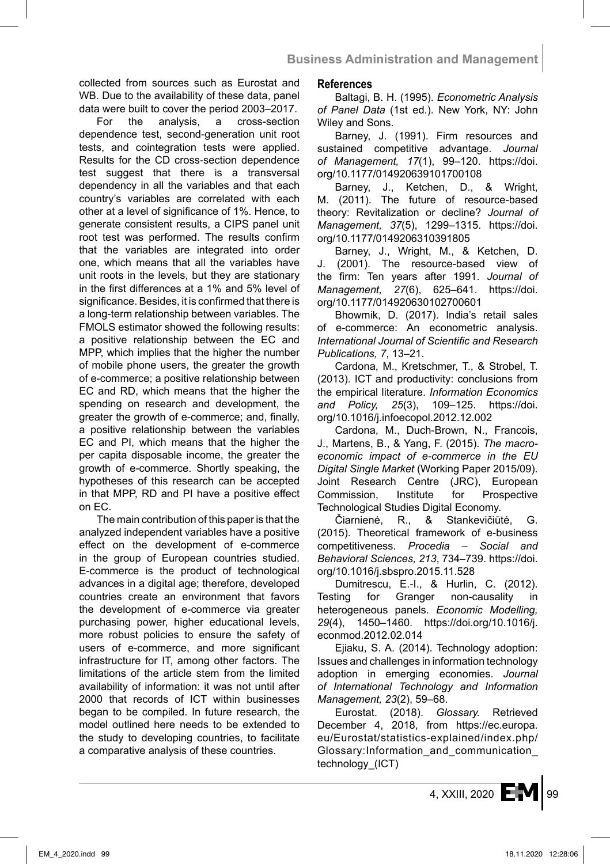collected from sources such as Eurostat and WB. Due to the availability of these data, panel data were built to cover the period 2003–2017.

For the analysis, a cross-section dependence test, second-generation unit root tests, and cointegration tests were applied. Results for the CD cross-section dependence test suggest that there is a transversal dependency in all the variables and that each country's variables are correlated with each other at a level of significance of 1%. Hence, to generate consistent results, a CIPS panel unit root test was performed. The results confirm that the variables are integrated into order one, which means that all the variables have unit roots in the levels, but they are stationary in the first differences at a 1% and 5% level of significance. Besides, it is confirmed that there is a long-term relationship between variables. The FMOLS estimator showed the following results: a positive relationship between the EC and MPP, which implies that the higher the number of mobile phone users, the greater the growth of e-commerce; a positive relationship between EC and RD, which means that the higher the spending on research and development, the greater the growth of e-commerce; and, finally, a positive relationship between the variables EC and PI, which means that the higher the per capita disposable income, the greater the growth of e-commerce. Shortly speaking, the hypotheses of this research can be accepted in that MPP, RD and PI have a positive effect on EC.

The main contribution of this paper is that the analyzed independent variables have a positive effect on the development of e-commerce in the group of European countries studied. E-commerce is the product of technological advances in a digital age; therefore, developed countries create an environment that favors the development of e-commerce via greater purchasing power, higher educational levels, more robust policies to ensure the safety of users of e-commerce, and more significant infrastructure for IT, among other factors. The limitations of the article stem from the limited availability of information: it was not until after 2000 that records of ICT within businesses began to be compiled. In future research, the model outlined here needs to be extended to the study to developing countries, to facilitate a comparative analysis of these countries.

### **References**

Baltagi, B. H. (1995). *Econometric Analysis of Panel Data* (1st ed.). New York, NY: John Wiley and Sons.

Barney, J. (1991). Firm resources and sustained competitive advantage. *Journal of Management, 17*(1), 99–120. https://doi. org/10.1177/014920639101700108

Barney, J., Ketchen, D., & Wright, M. (2011). The future of resource-based theory: Revitalization or decline? *Journal of Management, 37*(5), 1299–1315. https://doi. org/10.1177/0149206310391805

Barney, J., Wright, M., & Ketchen, D. J. (2001). The resource-based view of the firm: Ten years after 1991. *Journal of Management, 27*(6), 625–641. https://doi. org/10.1177/014920630102700601

Bhowmik, D. (2017). India's retail sales of e-commerce: An econometric analysis. *International Journal of Scientific and Research Publications, 7*, 13–21.

Cardona, M., Kretschmer, T., & Strobel, T. (2013). ICT and productivity: conclusions from the empirical literature. *Information Economics and Policy, 25*(3), 109–125. https://doi. org/10.1016/j.infoecopol.2012.12.002

Cardona, M., Duch-Brown, N., Francois, J., Martens, B., & Yang, F. (2015). *The macroeconomic impact of e-commerce in the EU Digital Single Market* (Working Paper 2015/09). Joint Research Centre (JRC), European Commission, Institute for Prospective Technological Studies Digital Economy.

Čiarnienė, R., & Stankevičiūtė, G. (2015). Theoretical framework of e-business competitiveness. *Procedia – Social and Behavioral Sciences, 213*, 734–739. https://doi. org/10.1016/j.sbspro.2015.11.528

Dumitrescu, E.-I., & Hurlin, C. (2012). Testing for Granger non-causality in heterogeneous panels. *Economic Modelling, 29*(4), 1450–1460. https://doi.org/10.1016/j. econmod.2012.02.014

Ejiaku, S. A. (2014). Technology adoption: Issues and challenges in information technology adoption in emerging economies. *Journal of International Technology and Information Management, 23*(2), 59–68.

Eurostat. (2018). *Glossary.* Retrieved December 4, 2018, from https://ec.europa. eu/Eurostat/statistics-explained/index.php/ Glossary:Information\_and\_communication\_ technology\_(ICT)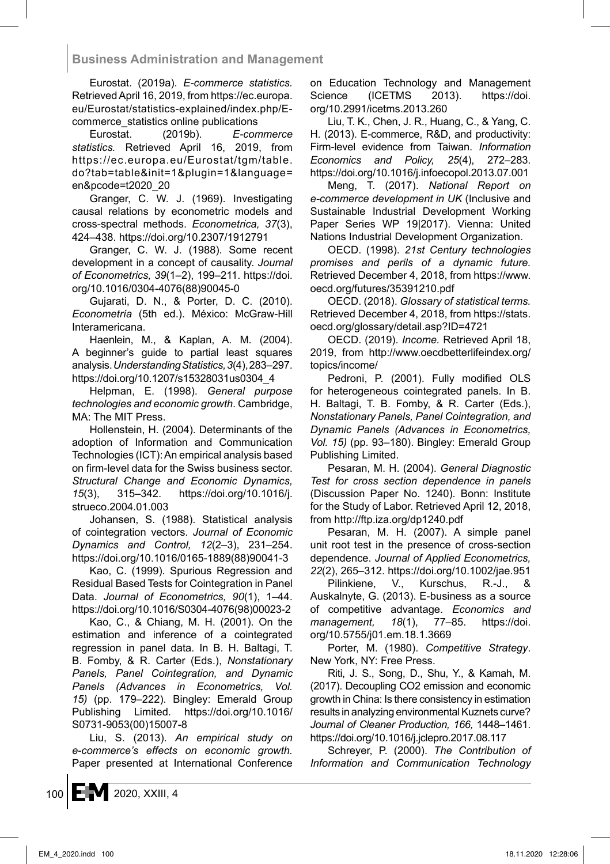Eurostat. (2019a). *E-commerce statistics.* Retrieved April 16, 2019, from https://ec.europa. eu/Eurostat/statistics-explained/index.php/Ecommerce\_statistics online publications

Eurostat. (2019b). *E-commerce statistics.* Retrieved April 16, 2019, from https://ec.europa.eu/Eurostat/tgm/table. do?tab=table&init=1&plugin=1&language= en&pcode=t2020\_20

Granger, C. W. J. (1969). Investigating causal relations by econometric models and cross-spectral methods. *Econometrica, 37*(3), 424–438. https://doi.org/10.2307/1912791

Granger, C. W. J. (1988). Some recent development in a concept of causality. *Journal of Econometrics, 39*(1–2), 199–211. https://doi. org/10.1016/0304-4076(88)90045-0

Gujarati, D. N., & Porter, D. C. (2010). *Econometría* (5th ed.). México: McGraw-Hill Interamericana.

Haenlein, M., & Kaplan, A. M. (2004). A beginner's guide to partial least squares analysis. *Understanding Statistics,3*(4), 283–297. https://doi.org/10.1207/s15328031us0304\_4

Helpman, E. (1998). *General purpose technologies and economic growth*. Cambridge, MA: The MIT Press.

Hollenstein, H. (2004). Determinants of the adoption of Information and Communication Technologies (ICT): An empirical analysis based on firm-level data for the Swiss business sector. *Structural Change and Economic Dynamics, 15*(3), 315–342. https://doi.org/10.1016/j. strueco.2004.01.003

Johansen, S. (1988). Statistical analysis of cointegration vectors. *Journal of Economic Dynamics and Control, 12*(2–3), 231–254. https://doi.org/10.1016/0165-1889(88)90041-3

Kao, C. (1999). Spurious Regression and Residual Based Tests for Cointegration in Panel Data. *Journal of Econometrics, 90*(1), 1–44. https://doi.org/10.1016/S0304-4076(98)00023-2

Kao, C., & Chiang, M. H. (2001). On the estimation and inference of a cointegrated regression in panel data. In B. H. Baltagi, T. B. Fomby, & R. Carter (Eds.), *Nonstationary Panels, Panel Cointegration, and Dynamic Panels (Advances in Econometrics, Vol. 15)* (pp. 179–222). Bingley: Emerald Group Publishing Limited. https://doi.org/10.1016/ S0731-9053(00)15007-8

Liu, S. (2013). *An empirical study on e-commerce's effects on economic growth.* Paper presented at International Conference on Education Technology and Management Science (ICETMS 2013). https://doi. org/10.2991/icetms.2013.260

Liu, T. K., Chen, J. R., Huang, C., & Yang, C. H. (2013). E-commerce, R&D, and productivity: Firm-level evidence from Taiwan. *Information Economics and Policy, 25*(4), 272–283. https://doi.org/10.1016/j.infoecopol.2013.07.001

Meng, T. (2017). *National Report on e-commerce development in UK* (Inclusive and Sustainable Industrial Development Working Paper Series WP 19|2017). Vienna: United Nations Industrial Development Organization.

OECD. (1998). *21st Century technologies promises and perils of a dynamic future.* Retrieved December 4, 2018, from https://www. oecd.org/futures/35391210.pdf

OECD. (2018). *Glossary of statistical terms.* Retrieved December 4, 2018, from https://stats. oecd.org/glossary/detail.asp?ID=4721

OECD. (2019). *Income.* Retrieved April 18, 2019, from http://www.oecdbetterlifeindex.org/ topics/income/

Pedroni, P. (2001). Fully modified OLS for heterogeneous cointegrated panels. In B. H. Baltagi, T. B. Fomby, & R. Carter (Eds.), *Nonstationary Panels, Panel Cointegration, and Dynamic Panels (Advances in Econometrics, Vol. 15)* (pp. 93–180). Bingley: Emerald Group Publishing Limited.

Pesaran, M. H. (2004). *General Diagnostic Test for cross section dependence in panels* (Discussion Paper No. 1240). Bonn: Institute for the Study of Labor. Retrieved April 12, 2018, from http://ftp.iza.org/dp1240.pdf

Pesaran, M. H. (2007). A simple panel unit root test in the presence of cross-section dependence. *Journal of Applied Econometrics, 22*(2), 265–312. https://doi.org/10.1002/jae.951

Pilinkiene, V., Kurschus, R.-J., & Auskalnyte, G. (2013). E-business as a source of competitive advantage. *Economics and management, 18*(1), 77–85. https://doi. org/10.5755/j01.em.18.1.3669

Porter, M. (1980). *Competitive Strategy*. New York, NY: Free Press.

Riti, J. S., Song, D., Shu, Y., & Kamah, M. (2017). Decoupling CO2 emission and economic growth in China: Is there consistency in estimation results in analyzing environmental Kuznets curve? *Journal of Cleaner Production, 166,* 1448–1461. https://doi.org/10.1016/j.jclepro.2017.08.117

Schreyer, P. (2000). *The Contribution of Information and Communication Technology*